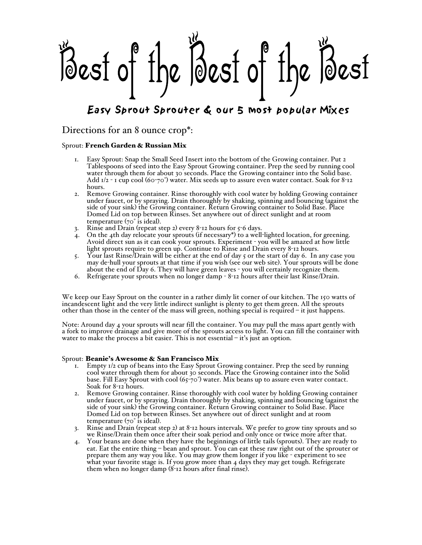Best of the Best of the Best

# Easy Sprout Sprouter & our 5 most popular Mixes

## Directions for an 8 ounce crop\*:

#### Sprout: French Garden & Russian Mix

- 1. Easy Sprout: Snap the Small Seed Insert into the bottom of the Growing container. Put 2 Tablespoons of seed into the Easy Sprout Growing container. Prep the seed by running cool water through them for about 30 seconds. Place the Growing container into the Solid base. Add  $1/2$  - 1 cup cool (60-70°) water. Mix seeds up to assure even water contact. Soak for 8-12 hours.
- 2. Remove Growing container. Rinse thoroughly with cool water by holding Growing container under faucet, or by spraying. Drain thoroughly by shaking, spinning and bouncing (against the side of your sink) the Growing container. Return Growing container to Solid Base. Place Domed Lid on top between Rinses. Set anywhere out of direct sunlight and at room temperature  $(70^\circ)$  is ideal).
- 3. Rinse and Drain (repeat step 2) every 8-12 hours for  $5-6$  days.
- 4. On the 4th day relocate your sprouts (if necessary\*) to a well-lighted location, for greening. Avoid direct sun as it can cook your sprouts. Experiment - you will be amazed at how little light sprouts require to green up. Continue to Rinse and Drain every 8-12 hours.
- 5. Your last Rinse/Drain will be either at the end of day 5 or the start of day 6. In any case you may de-hull your sprouts at that time if you wish (see our web site). Your sprouts will be done about the end of Day 6. They will have green leaves - you will certainly recognize them.
- 6. Refrigerate your sprouts when no longer damp 8-12 hours after their last Rinse/Drain.

We keep our Easy Sprout on the counter in a rather dimly lit corner of our kitchen. The 150 watts of incandescent light and the very little indirect sunlight is plenty to get them green. All the sprouts other than those in the center of the mass will green, nothing special is required – it just happens.

Note: Around day 4 your sprouts will near fill the container. You may pull the mass apart gently with a fork to improve drainage and give more of the sprouts access to light. You can fill the container with water to make the process a bit easier. This is not essential – it's just an option.

#### Sprout: Beanie's Awesome & San Francisco Mix

- 1. Empty 1/2 cup of beans into the Easy Sprout Growing container. Prep the seed by running cool water through them for about 30 seconds. Place the Growing container into the Solid base. Fill Easy Sprout with cool  $(65-70)$  water. Mix beans up to assure even water contact. Soak for 8-12 hours.
- 2. Remove Growing container. Rinse thoroughly with cool water by holding Growing container under faucet, or by spraying. Drain thoroughly by shaking, spinning and bouncing (against the side of your sink) the Growing container. Return Growing container to Solid Base. Place Domed Lid on top between Rinses. Set anywhere out of direct sunlight and at room temperature (70° is ideal).
- 3. Rinse and Drain (repeat step 2) at 8-12 hours intervals. We prefer to grow tiny sprouts and so we Rinse/Drain them once after their soak period and only once or twice more after that.
- 4. Your beans are done when they have the beginnings of little tails (sprouts). They are ready to eat. Eat the entire thing – bean and sprout. You can eat these raw right out of the sprouter or prepare them any way you like. You may grow them longer if you like - experiment to see what your favorite stage is. If you grow more than 4 days they may get tough. Refrigerate them when no longer damp (8-12 hours after final rinse).